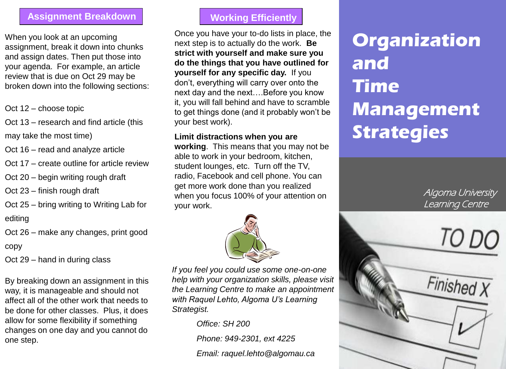### **Assignment Breakdown**

When you look at an upcoming assignment, break it down into chunks and assign dates. Then put those into your agenda. For example, an article review that is due on Oct 29 may be broken down into the following sections:

- Oct 12 choose topic
- Oct 13 research and find article (this may take the most time)
- Oct 16 read and analyze article
- Oct 17 create outline for article review
- Oct 20 begin writing rough draft
- Oct 23 finish rough draft
- Oct 25 bring writing to Writing Lab for editing
- Oct 26 make any changes, print good
- copy
- Oct 29 hand in during class

By breaking down an assignment in this way, it is manageable and should not affect all of the other work that needs to be done for other classes. Plus, it does allow for some flexibility if something changes on one day and you cannot do one step.

# **Working Efficiently**

Once you have your to-do lists in place, the next step is to actually do the work. **Be strict with yourself and make sure you do the things that you have outlined for yourself for any specific day.** If you don't, everything will carry over onto the next day and the next….Before you know it, you will fall behind and have to scramble to get things done (and it probably won't be your best work).

### **Limit distractions when you are**

**working**. This means that you may not be able to work in your bedroom, kitchen, student lounges, etc. Turn off the TV, radio, Facebook and cell phone. You can get more work done than you realized when you focus 100% of your attention on your work.



*If you feel you could use some one-on-one help with your organization skills, please visit the Learning Centre to make an appointment with Raquel Lehto, Algoma U's Learning Strategist.*

*Office: SH 200*

*Phone: 949-2301, ext 4225*

*Email: raquel.lehto@algomau.ca*

# **Organization and Time Management Strategies**

Algoma University Learning Centre

Finished X